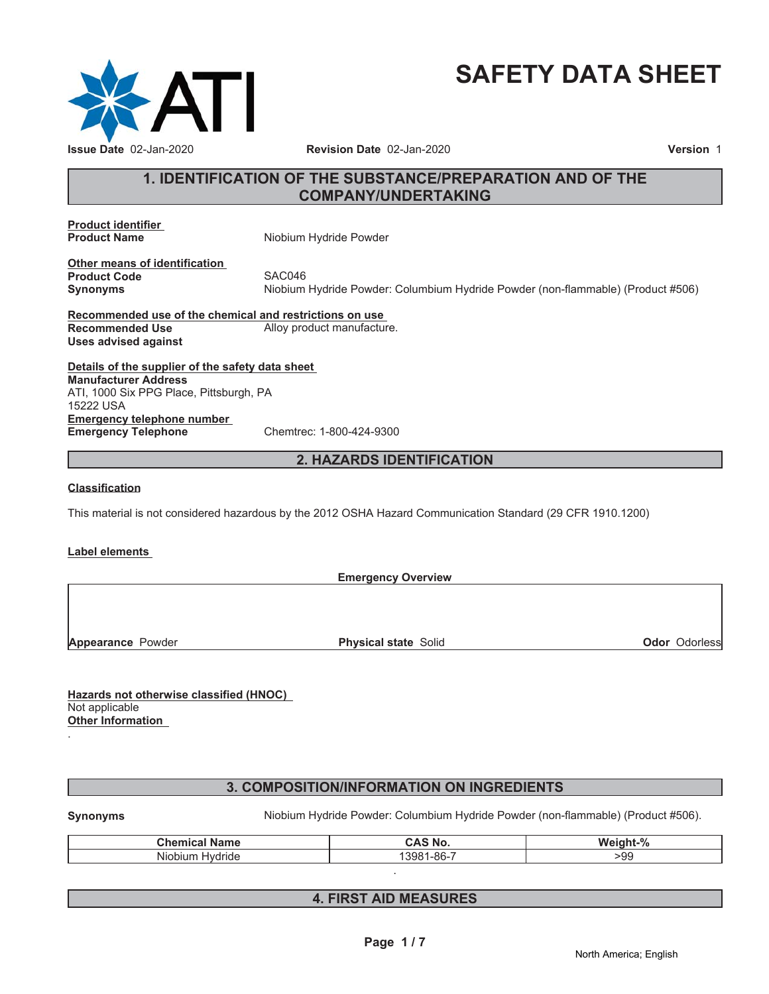

# **SAFETY DATA SHEET**

# **1. IDENTIFICATION OF THE SUBSTANCE/PREPARATION AND OF THE COMPANY/UNDERTAKING**

**Product identifier**

**Product Name** Niobium Hydride Powder

**Other means of identification Product Code SAC046** 

**Synonyms** Niobium Hydride Powder: Columbium Hydride Powder (non-flammable) (Product #506)

**Recommended use of the chemical and restrictions on use Recommended Use** Alloy product manufacture. **Uses advised against**

**Details of the supplier of the safety data sheet Emergency telephone number Emergency Telephone** Chemtrec: 1-800-424-9300 **Manufacturer Address** ATI, 1000 Six PPG Place, Pittsburgh, PA 15222 USA

# **2. HAZARDS IDENTIFICATION**

## **Classification**

This material is not considered hazardous by the 2012 OSHA Hazard Communication Standard (29 CFR 1910.1200)

## **Label elements**

**Emergency Overview**

**Appearance** Powder **Physical state** Solid **Physical state** Solid **Odor** Odorless

**Hazards not otherwise classified (HNOC)** Not applicable **Other Information**

# **3. COMPOSITION/INFORMATION ON INGREDIENTS**

.

Synonyms **Niobium Hydride Powder: Columbium Hydride Powder** (non-flammable) (Product #506).

| <b>Chemical</b><br>Name                         | CAS No.                  | $M$ aight <sub>-%</sub><br>IT-70 |
|-------------------------------------------------|--------------------------|----------------------------------|
| .<br>$\sim$ $\sim$<br>Niobium<br><b>Hydride</b> | $1 - 86 - 7$<br>$1398^.$ | -99                              |
|                                                 |                          |                                  |

# **4. FIRST AID MEASURES**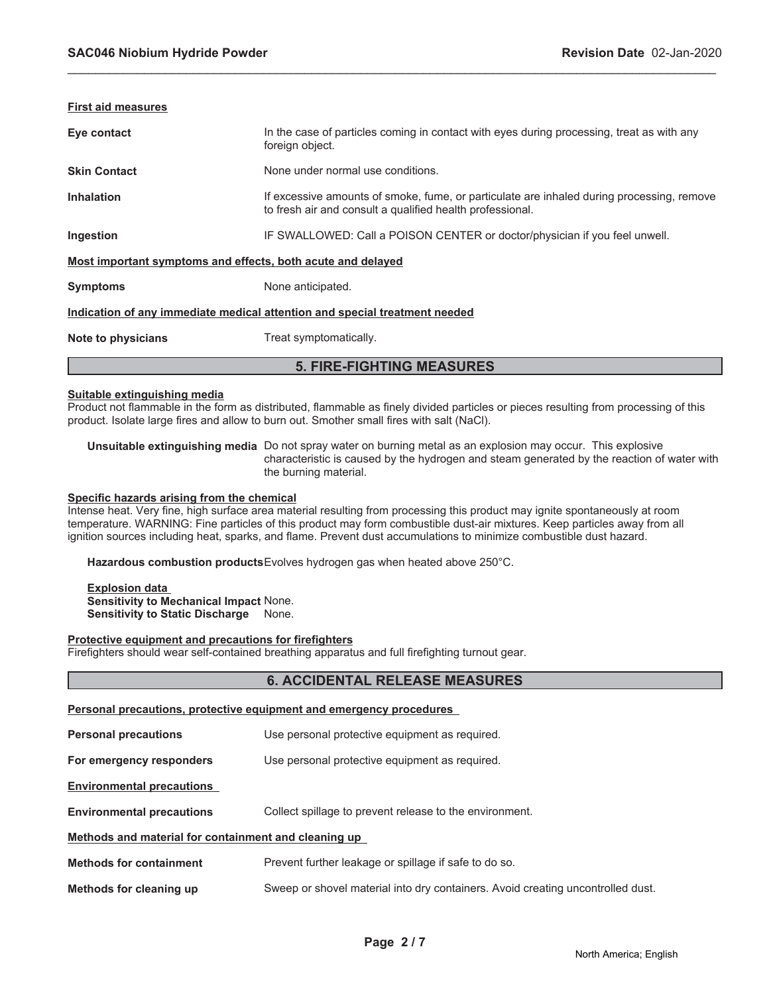| First aid measures                                                         |                                                                                                                                                        |  |
|----------------------------------------------------------------------------|--------------------------------------------------------------------------------------------------------------------------------------------------------|--|
| Eye contact                                                                | In the case of particles coming in contact with eyes during processing, treat as with any<br>foreign object.                                           |  |
| <b>Skin Contact</b>                                                        | None under normal use conditions.                                                                                                                      |  |
| <b>Inhalation</b>                                                          | If excessive amounts of smoke, fume, or particulate are inhaled during processing, remove<br>to fresh air and consult a qualified health professional. |  |
| Ingestion                                                                  | IF SWALLOWED: Call a POISON CENTER or doctor/physician if you feel unwell.                                                                             |  |
| Most important symptoms and effects, both acute and delayed                |                                                                                                                                                        |  |
| <b>Symptoms</b>                                                            | None anticipated.                                                                                                                                      |  |
| Indication of any immediate medical attention and special treatment needed |                                                                                                                                                        |  |
| Note to physicians                                                         | Treat symptomatically.                                                                                                                                 |  |
| <b>5. FIRE-FIGHTING MEASURES</b>                                           |                                                                                                                                                        |  |

\_\_\_\_\_\_\_\_\_\_\_\_\_\_\_\_\_\_\_\_\_\_\_\_\_\_\_\_\_\_\_\_\_\_\_\_\_\_\_\_\_\_\_\_\_\_\_\_\_\_\_\_\_\_\_\_\_\_\_\_\_\_\_\_\_\_\_\_\_\_\_\_\_\_\_\_\_\_\_\_\_\_\_\_\_\_\_\_\_\_\_\_\_

#### **Suitable extinguishing media**

Product not flammable in the form as distributed, flammable as finely divided particles or pieces resulting from processing of this product. Isolate large fires and allow to burn out. Smother small fires with salt (NaCl).

**Unsuitable extinguishing media** Do not spray water on burning metal as an explosion may occur. This explosive characteristic is caused by the hydrogen and steam generated by the reaction of water with the burning material.

# **Specific hazards arising from the chemical**

Intense heat. Very fine, high surface area material resulting from processing this product may ignite spontaneously at room temperature. WARNING: Fine particles of this product may form combustible dust-air mixtures. Keep particles away from all ignition sources including heat, sparks, and flame. Prevent dust accumulations to minimize combustible dust hazard.

**Hazardous combustion products**Evolves hydrogen gas when heated above 250°C.

**Explosion data Sensitivity to Mechanical Impact** None. **Sensitivity to Static Discharge** None.

#### **Protective equipment and precautions for firefighters**

Firefighters should wear self-contained breathing apparatus and full firefighting turnout gear.

**Personal precautions, protective equipment and emergency procedures**

## **6. ACCIDENTAL RELEASE MEASURES**

| <b>Personal precautions</b>                          | Use personal protective equipment as required.                                  |  |
|------------------------------------------------------|---------------------------------------------------------------------------------|--|
| For emergency responders                             | Use personal protective equipment as required.                                  |  |
| <b>Environmental precautions</b>                     |                                                                                 |  |
| <b>Environmental precautions</b>                     | Collect spillage to prevent release to the environment.                         |  |
| Methods and material for containment and cleaning up |                                                                                 |  |
| <b>Methods for containment</b>                       | Prevent further leakage or spillage if safe to do so.                           |  |
| Methods for cleaning up                              | Sweep or shovel material into dry containers. Avoid creating uncontrolled dust. |  |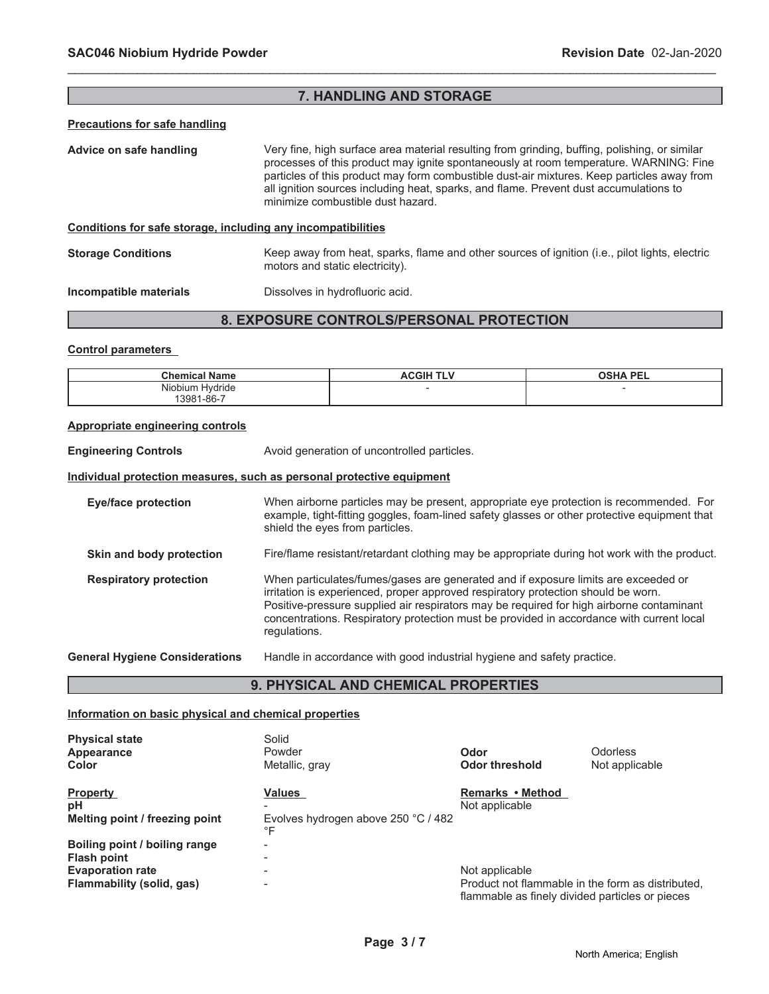# **7. HANDLING AND STORAGE**

\_\_\_\_\_\_\_\_\_\_\_\_\_\_\_\_\_\_\_\_\_\_\_\_\_\_\_\_\_\_\_\_\_\_\_\_\_\_\_\_\_\_\_\_\_\_\_\_\_\_\_\_\_\_\_\_\_\_\_\_\_\_\_\_\_\_\_\_\_\_\_\_\_\_\_\_\_\_\_\_\_\_\_\_\_\_\_\_\_\_\_\_\_

#### **Precautions for safe handling**

**Advice on safe handling** Very fine, high surface area material resulting from grinding, buffing, polishing, or similar processes of this product may ignite spontaneously at room temperature. WARNING: Fine particles of this product may form combustible dust-air mixtures. Keep particles away from all ignition sources including heat, sparks, and flame. Prevent dust accumulations to minimize combustible dust hazard.

# **Conditions for safe storage, including any incompatibilities**

**Storage Conditions** Keep away from heat, sparks, flame and other sources of ignition (i.e., pilot lights, electric motors and static electricity).

#### **Incompatible materials Dissolves in hydrofluoric acid.**

# **8. EXPOSURE CONTROLS/PERSONAL PROTECTION**

#### **Control parameters**

| <b>Chemical Name</b> | <b>ACGIH</b><br>TLV | <b>OSHA PEL</b> |
|----------------------|---------------------|-----------------|
| Niobium Hydride      |                     |                 |
| 3981-86-7            |                     |                 |

#### **Appropriate engineering controls**

**Engineering Controls Avoid generation of uncontrolled particles.** 

#### **Individual protection measures, such as personal protective equipment**

**Eye/face protection** When airborne particles may be present, appropriate eye protection is recommended. For example, tight-fitting goggles, foam-lined safety glasses or other protective equipment that shield the eyes from particles. **Skin and body protection** Fire/flame resistant/retardant clothing may be appropriate during hot work with the product. **Respiratory protection** When particulates/fumes/gases are generated and if exposure limits are exceeded or irritation is experienced, proper approved respiratory protection should be worn. Positive-pressure supplied air respirators may be required for high airborne contaminant concentrations. Respiratory protection must be provided in accordance with current local regulations. **General Hygiene Considerations** Handle in accordance with good industrial hygiene and safety practice.

## **9. PHYSICAL AND CHEMICAL PROPERTIES**

#### **Information on basic physical and chemical properties**

| <b>Physical state</b><br>Appearance<br><b>Color</b>                                                         | Solid<br>Powder<br>Metallic, gray                          | Odor<br>Odor threshold                                                                                                 | <b>Odorless</b><br>Not applicable |
|-------------------------------------------------------------------------------------------------------------|------------------------------------------------------------|------------------------------------------------------------------------------------------------------------------------|-----------------------------------|
| <b>Property</b><br>рH<br>Melting point / freezing point                                                     | <b>Values</b><br>Evolves hydrogen above 250 °C / 482<br>°F | Remarks • Method<br>Not applicable                                                                                     |                                   |
| Boiling point / boiling range<br><b>Flash point</b><br><b>Evaporation rate</b><br>Flammability (solid, gas) | -<br>-<br>-                                                | Not applicable<br>Product not flammable in the form as distributed.<br>flammable as finely divided particles or pieces |                                   |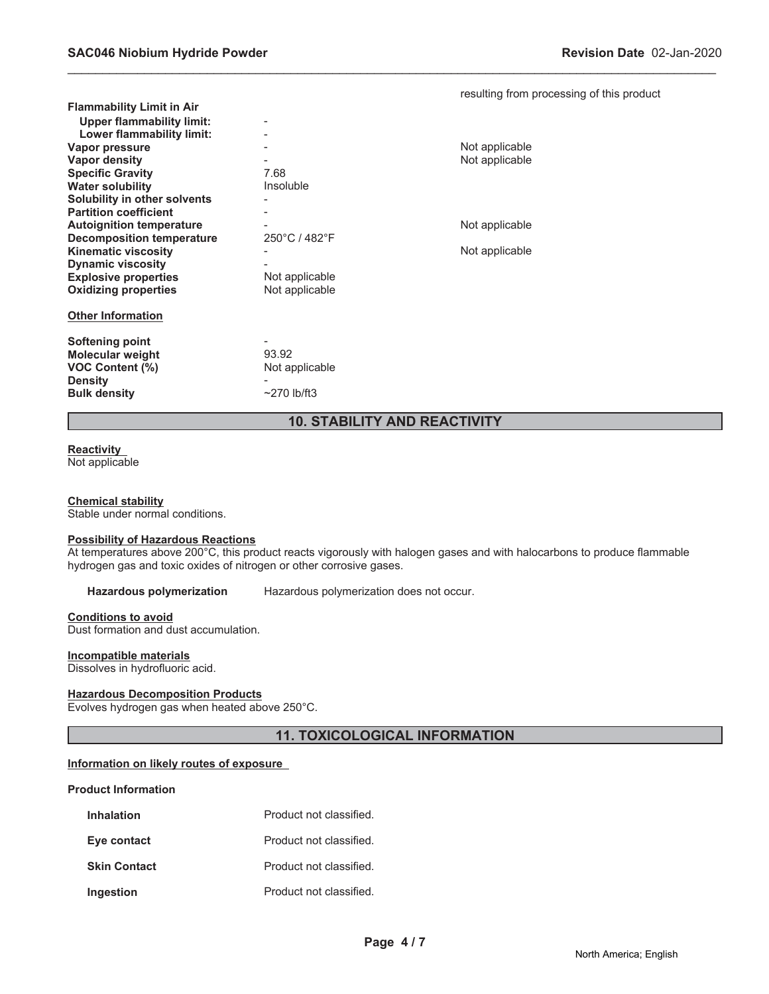|                                  |                   | resulting from processing of this product |
|----------------------------------|-------------------|-------------------------------------------|
| <b>Flammability Limit in Air</b> |                   |                                           |
| <b>Upper flammability limit:</b> |                   |                                           |
| Lower flammability limit:        |                   |                                           |
| Vapor pressure                   |                   | Not applicable                            |
| Vapor density                    |                   | Not applicable                            |
| <b>Specific Gravity</b>          | 7.68              |                                           |
| <b>Water solubility</b>          | Insoluble         |                                           |
| Solubility in other solvents     |                   |                                           |
| <b>Partition coefficient</b>     |                   |                                           |
| <b>Autoignition temperature</b>  |                   | Not applicable                            |
| <b>Decomposition temperature</b> | 250°C / 482°F     |                                           |
| <b>Kinematic viscosity</b>       |                   | Not applicable                            |
| <b>Dynamic viscosity</b>         |                   |                                           |
| <b>Explosive properties</b>      | Not applicable    |                                           |
| <b>Oxidizing properties</b>      | Not applicable    |                                           |
|                                  |                   |                                           |
| <b>Other Information</b>         |                   |                                           |
|                                  |                   |                                           |
| <b>Softening point</b>           |                   |                                           |
| <b>Molecular weight</b>          | 93.92             |                                           |
| VOC Content (%)                  | Not applicable    |                                           |
| <b>Density</b>                   |                   |                                           |
| <b>Bulk density</b>              | $\sim$ 270 lb/ft3 |                                           |
|                                  |                   |                                           |

# **10. STABILITY AND REACTIVITY**

\_\_\_\_\_\_\_\_\_\_\_\_\_\_\_\_\_\_\_\_\_\_\_\_\_\_\_\_\_\_\_\_\_\_\_\_\_\_\_\_\_\_\_\_\_\_\_\_\_\_\_\_\_\_\_\_\_\_\_\_\_\_\_\_\_\_\_\_\_\_\_\_\_\_\_\_\_\_\_\_\_\_\_\_\_\_\_\_\_\_\_\_\_

# **Reactivity**

Not applicable

# **Chemical stability**

Stable under normal conditions.

#### **Possibility of Hazardous Reactions**

At temperatures above 200°C, this product reacts vigorously with halogen gases and with halocarbons to produce flammable hydrogen gas and toxic oxides of nitrogen or other corrosive gases.

**Hazardous polymerization** Hazardous polymerization does not occur.

# **Conditions to avoid**

Dust formation and dust accumulation.

#### **Incompatible materials**

Dissolves in hydrofluoric acid.

#### **Hazardous Decomposition Products**

Evolves hydrogen gas when heated above 250°C.

# **11. TOXICOLOGICAL INFORMATION**

## **Information on likely routes of exposure**

#### **Product Information**

| <b>Inhalation</b>   | Product not classified. |
|---------------------|-------------------------|
| Eye contact         | Product not classified. |
| <b>Skin Contact</b> | Product not classified. |
| Ingestion           | Product not classified. |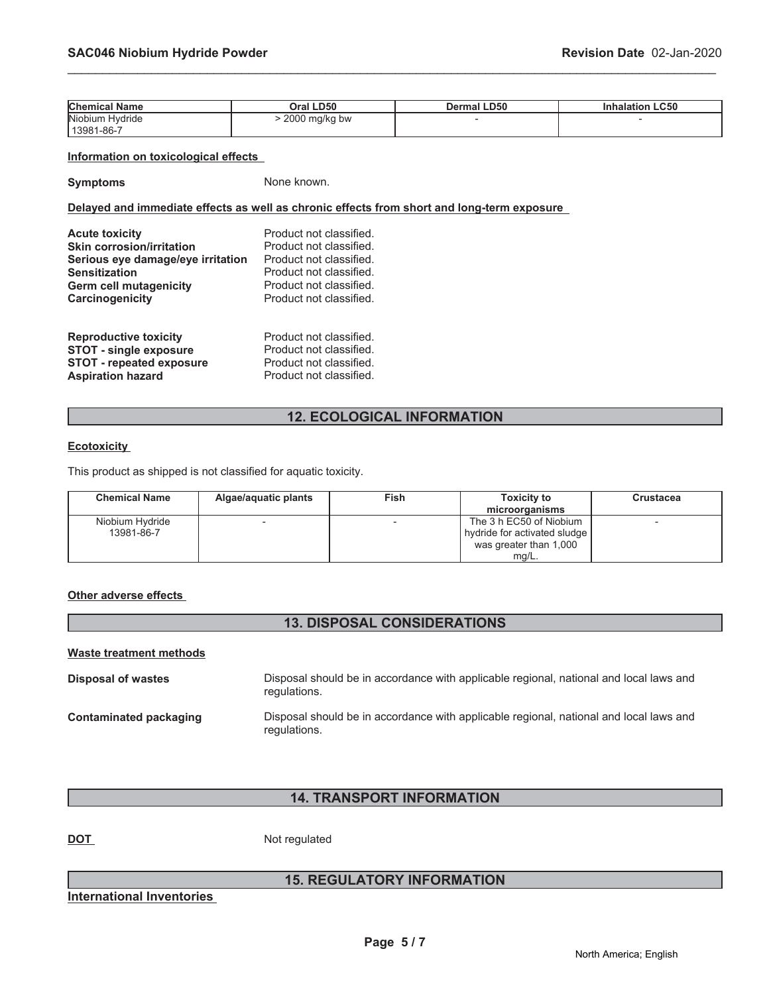| <b>Chemical Name</b> | Oral LD50     | <b>Dermal LD50</b> | nhalation LC50 |
|----------------------|---------------|--------------------|----------------|
| Niobium Hydride      | 2000 mg/kg bw |                    |                |
| 13981-86-7           |               |                    |                |

\_\_\_\_\_\_\_\_\_\_\_\_\_\_\_\_\_\_\_\_\_\_\_\_\_\_\_\_\_\_\_\_\_\_\_\_\_\_\_\_\_\_\_\_\_\_\_\_\_\_\_\_\_\_\_\_\_\_\_\_\_\_\_\_\_\_\_\_\_\_\_\_\_\_\_\_\_\_\_\_\_\_\_\_\_\_\_\_\_\_\_\_\_

# **Information on toxicological effects**

**Symptoms** None known.

# **Delayed and immediate effects as well as chronic effects from short and long-term exposure**

| <b>Acute toxicity</b>             | Product not classified. |
|-----------------------------------|-------------------------|
| <b>Skin corrosion/irritation</b>  | Product not classified. |
| Serious eye damage/eye irritation | Product not classified. |
| <b>Sensitization</b>              | Product not classified. |
| <b>Germ cell mutagenicity</b>     | Product not classified. |
| Carcinogenicity                   | Product not classified. |
| <b>Reproductive toxicity</b>      | Product not classified. |
| <b>STOT - single exposure</b>     | Product not classified. |
| <b>STOT - repeated exposure</b>   | Product not classified. |
| <b>Aspiration hazard</b>          | Product not classified. |

# **12. ECOLOGICAL INFORMATION**

#### **Ecotoxicity**

This product as shipped is not classified for aquatic toxicity.

| <b>Chemical Name</b> | Algae/aquatic plants | Fish | <b>Toxicity to</b>           | Crustacea |
|----------------------|----------------------|------|------------------------------|-----------|
|                      |                      |      | microorganisms               |           |
| Niobium Hydride      |                      |      | The 3 h EC50 of Niobium      |           |
| 13981-86-7           |                      |      | hydride for activated sludge |           |
|                      |                      |      | was greater than 1,000       |           |
|                      |                      |      | $mg/L$ .                     |           |

# **Other adverse effects**

# **13. DISPOSAL CONSIDERATIONS**

#### **Waste treatment methods**

| Disposal of wastes     | Disposal should be in accordance with applicable regional, national and local laws and<br>regulations. |
|------------------------|--------------------------------------------------------------------------------------------------------|
| Contaminated packaging | Disposal should be in accordance with applicable regional, national and local laws and<br>regulations. |

# **14. TRANSPORT INFORMATION**

**DOT** Not regulated

# **15. REGULATORY INFORMATION**

**International Inventories**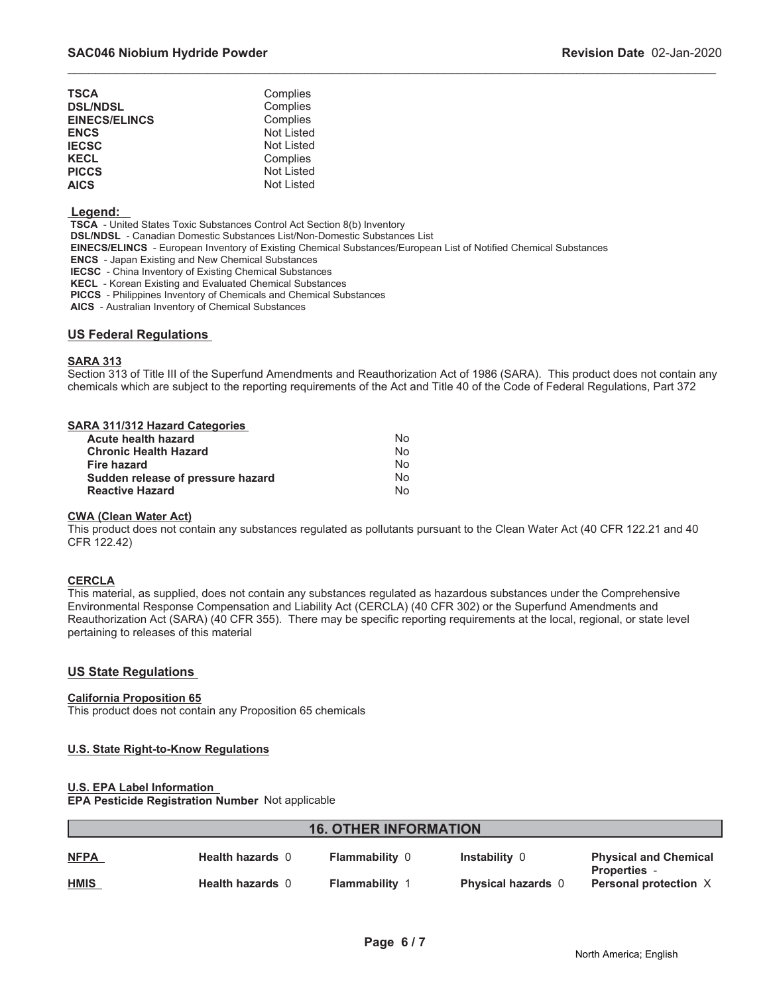| TSCA                 | Complies   |
|----------------------|------------|
| <b>DSL/NDSL</b>      | Complies   |
| <b>EINECS/ELINCS</b> | Complies   |
| <b>ENCS</b>          | Not Listed |
| <b>IECSC</b>         | Not Listed |
| <b>KECL</b>          | Complies   |
| <b>PICCS</b>         | Not Listed |
| <b>AICS</b>          | Not Listed |

# **Legend:**

 **TSCA** - United States Toxic Substances Control Act Section 8(b) Inventory

 **DSL/NDSL** - Canadian Domestic Substances List/Non-Domestic Substances List

 **EINECS/ELINCS** - European Inventory of Existing Chemical Substances/European List of Notified Chemical Substances

 **ENCS** - Japan Existing and New Chemical Substances

 **IECSC** - China Inventory of Existing Chemical Substances

 **KECL** - Korean Existing and Evaluated Chemical Substances

 **PICCS** - Philippines Inventory of Chemicals and Chemical Substances

 **AICS** - Australian Inventory of Chemical Substances

## **US Federal Regulations**

#### **SARA 313**

Section 313 of Title III of the Superfund Amendments and Reauthorization Act of 1986 (SARA). This product does not contain any chemicals which are subject to the reporting requirements of the Act and Title 40 of the Code of Federal Regulations, Part 372

\_\_\_\_\_\_\_\_\_\_\_\_\_\_\_\_\_\_\_\_\_\_\_\_\_\_\_\_\_\_\_\_\_\_\_\_\_\_\_\_\_\_\_\_\_\_\_\_\_\_\_\_\_\_\_\_\_\_\_\_\_\_\_\_\_\_\_\_\_\_\_\_\_\_\_\_\_\_\_\_\_\_\_\_\_\_\_\_\_\_\_\_\_

| SARA 311/312 Hazard Categories    |    |
|-----------------------------------|----|
| <b>Acute health hazard</b>        | No |
| <b>Chronic Health Hazard</b>      | No |
| Fire hazard                       | No |
| Sudden release of pressure hazard | No |
| <b>Reactive Hazard</b>            | No |

#### **CWA (Clean Water Act)**

This product does not contain any substances regulated as pollutants pursuant to the Clean Water Act (40 CFR 122.21 and 40 CFR 122.42)

## **CERCLA**

This material, as supplied, does not contain any substances regulated as hazardous substances under the Comprehensive Environmental Response Compensation and Liability Act (CERCLA) (40 CFR 302) or the Superfund Amendments and Reauthorization Act (SARA) (40 CFR 355). There may be specific reporting requirements at the local, regional, or state level pertaining to releases of this material

## **US State Regulations**

## **California Proposition 65**

This product does not contain any Proposition 65 chemicals

## **U.S. State Right-to-Know Regulations**

## **U.S. EPA Label Information**

**EPA Pesticide Registration Number** Not applicable

| <b>16. OTHER INFORMATION</b> |                         |                       |                           |                                            |  |
|------------------------------|-------------------------|-----------------------|---------------------------|--------------------------------------------|--|
| <b>NFPA</b>                  | <b>Health hazards 0</b> | <b>Flammability 0</b> | <b>Instability 0</b>      | <b>Physical and Chemical</b>               |  |
| <b>HMIS</b>                  | <b>Health hazards 0</b> | <b>Flammability 1</b> | <b>Physical hazards</b> 0 | <b>Properties</b><br>Personal protection X |  |